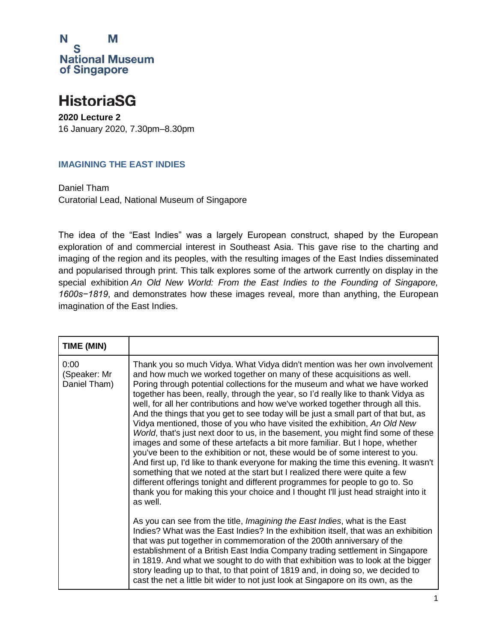

#### **HistoriaSG**

**2020 Lecture 2** 16 January 2020, 7.30pm–8.30pm

#### **IMAGINING THE EAST INDIES**

Daniel Tham Curatorial Lead, National Museum of Singapore

The idea of the "East Indies" was a largely European construct, shaped by the European exploration of and commercial interest in Southeast Asia. This gave rise to the charting and imaging of the region and its peoples, with the resulting images of the East Indies disseminated and popularised through print. This talk explores some of the artwork currently on display in the special exhibition *An Old New World: From the East Indies to the Founding of Singapore, 1600s−1819*, and demonstrates how these images reveal, more than anything, the European imagination of the East Indies.

| TIME (MIN)                           |                                                                                                                                                                                                                                                                                                                                                                                                                                                                                                                                                                                                                                                                                                                                                                                                                                                                                                                                                                                                                                                                                                                                                                                                                                                                                                                                                                                                                                                                                                                                                                                                                                                                                                                                                                                                |
|--------------------------------------|------------------------------------------------------------------------------------------------------------------------------------------------------------------------------------------------------------------------------------------------------------------------------------------------------------------------------------------------------------------------------------------------------------------------------------------------------------------------------------------------------------------------------------------------------------------------------------------------------------------------------------------------------------------------------------------------------------------------------------------------------------------------------------------------------------------------------------------------------------------------------------------------------------------------------------------------------------------------------------------------------------------------------------------------------------------------------------------------------------------------------------------------------------------------------------------------------------------------------------------------------------------------------------------------------------------------------------------------------------------------------------------------------------------------------------------------------------------------------------------------------------------------------------------------------------------------------------------------------------------------------------------------------------------------------------------------------------------------------------------------------------------------------------------------|
| 0:00<br>(Speaker: Mr<br>Daniel Tham) | Thank you so much Vidya. What Vidya didn't mention was her own involvement<br>and how much we worked together on many of these acquisitions as well.<br>Poring through potential collections for the museum and what we have worked<br>together has been, really, through the year, so I'd really like to thank Vidya as<br>well, for all her contributions and how we've worked together through all this.<br>And the things that you get to see today will be just a small part of that but, as<br>Vidya mentioned, those of you who have visited the exhibition, An Old New<br>World, that's just next door to us, in the basement, you might find some of these<br>images and some of these artefacts a bit more familiar. But I hope, whether<br>you've been to the exhibition or not, these would be of some interest to you.<br>And first up, I'd like to thank everyone for making the time this evening. It wasn't<br>something that we noted at the start but I realized there were quite a few<br>different offerings tonight and different programmes for people to go to. So<br>thank you for making this your choice and I thought I'll just head straight into it<br>as well.<br>As you can see from the title, <i>Imagining the East Indies</i> , what is the East<br>Indies? What was the East Indies? In the exhibition itself, that was an exhibition<br>that was put together in commemoration of the 200th anniversary of the<br>establishment of a British East India Company trading settlement in Singapore<br>in 1819. And what we sought to do with that exhibition was to look at the bigger<br>story leading up to that, to that point of 1819 and, in doing so, we decided to<br>cast the net a little bit wider to not just look at Singapore on its own, as the |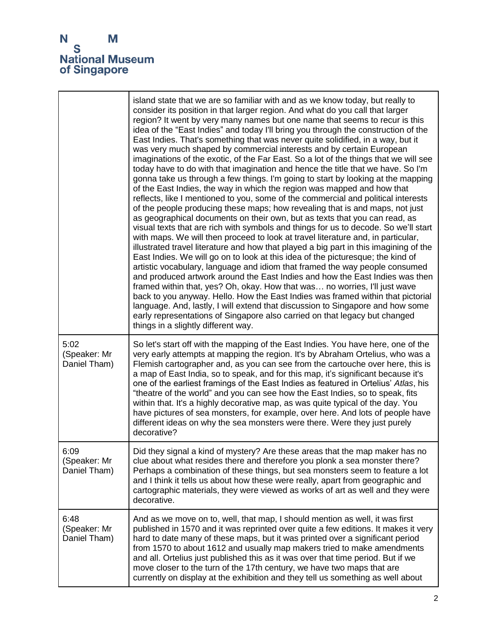|                                      | island state that we are so familiar with and as we know today, but really to<br>consider its position in that larger region. And what do you call that larger<br>region? It went by very many names but one name that seems to recur is this<br>idea of the "East Indies" and today I'll bring you through the construction of the<br>East Indies. That's something that was never quite solidified, in a way, but it<br>was very much shaped by commercial interests and by certain European<br>imaginations of the exotic, of the Far East. So a lot of the things that we will see<br>today have to do with that imagination and hence the title that we have. So I'm<br>gonna take us through a few things. I'm going to start by looking at the mapping<br>of the East Indies, the way in which the region was mapped and how that<br>reflects, like I mentioned to you, some of the commercial and political interests<br>of the people producing these maps; how revealing that is and maps, not just<br>as geographical documents on their own, but as texts that you can read, as<br>visual texts that are rich with symbols and things for us to decode. So we'll start<br>with maps. We will then proceed to look at travel literature and, in particular,<br>illustrated travel literature and how that played a big part in this imagining of the<br>East Indies. We will go on to look at this idea of the picturesque; the kind of<br>artistic vocabulary, language and idiom that framed the way people consumed<br>and produced artwork around the East Indies and how the East Indies was then<br>framed within that, yes? Oh, okay. How that was no worries, I'll just wave<br>back to you anyway. Hello. How the East Indies was framed within that pictorial<br>language. And, lastly, I will extend that discussion to Singapore and how some<br>early representations of Singapore also carried on that legacy but changed<br>things in a slightly different way. |
|--------------------------------------|-------------------------------------------------------------------------------------------------------------------------------------------------------------------------------------------------------------------------------------------------------------------------------------------------------------------------------------------------------------------------------------------------------------------------------------------------------------------------------------------------------------------------------------------------------------------------------------------------------------------------------------------------------------------------------------------------------------------------------------------------------------------------------------------------------------------------------------------------------------------------------------------------------------------------------------------------------------------------------------------------------------------------------------------------------------------------------------------------------------------------------------------------------------------------------------------------------------------------------------------------------------------------------------------------------------------------------------------------------------------------------------------------------------------------------------------------------------------------------------------------------------------------------------------------------------------------------------------------------------------------------------------------------------------------------------------------------------------------------------------------------------------------------------------------------------------------------------------------------------------------------------------------------------------------------------------------------------------------------------------|
| 5:02<br>(Speaker: Mr<br>Daniel Tham) | So let's start off with the mapping of the East Indies. You have here, one of the<br>very early attempts at mapping the region. It's by Abraham Ortelius, who was a<br>Flemish cartographer and, as you can see from the cartouche over here, this is<br>a map of East India, so to speak, and for this map, it's significant because it's<br>one of the earliest framings of the East Indies as featured in Ortelius' Atlas, his<br>"theatre of the world" and you can see how the East Indies, so to speak, fits<br>within that. It's a highly decorative map, as was quite typical of the day. You<br>have pictures of sea monsters, for example, over here. And lots of people have<br>different ideas on why the sea monsters were there. Were they just purely<br>decorative?                                                                                                                                                                                                                                                                                                                                                                                                                                                                                                                                                                                                                                                                                                                                                                                                                                                                                                                                                                                                                                                                                                                                                                                                       |
| 6:09<br>(Speaker: Mr<br>Daniel Tham) | Did they signal a kind of mystery? Are these areas that the map maker has no<br>clue about what resides there and therefore you plonk a sea monster there?<br>Perhaps a combination of these things, but sea monsters seem to feature a lot<br>and I think it tells us about how these were really, apart from geographic and<br>cartographic materials, they were viewed as works of art as well and they were<br>decorative.                                                                                                                                                                                                                                                                                                                                                                                                                                                                                                                                                                                                                                                                                                                                                                                                                                                                                                                                                                                                                                                                                                                                                                                                                                                                                                                                                                                                                                                                                                                                                            |
| 6:48<br>(Speaker: Mr<br>Daniel Tham) | And as we move on to, well, that map, I should mention as well, it was first<br>published in 1570 and it was reprinted over quite a few editions. It makes it very<br>hard to date many of these maps, but it was printed over a significant period<br>from 1570 to about 1612 and usually map makers tried to make amendments<br>and all. Ortelius just published this as it was over that time period. But if we<br>move closer to the turn of the 17th century, we have two maps that are<br>currently on display at the exhibition and they tell us something as well about                                                                                                                                                                                                                                                                                                                                                                                                                                                                                                                                                                                                                                                                                                                                                                                                                                                                                                                                                                                                                                                                                                                                                                                                                                                                                                                                                                                                           |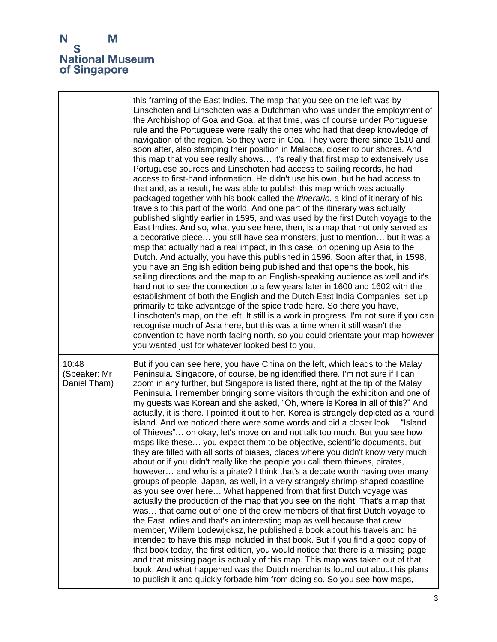|                                       | this framing of the East Indies. The map that you see on the left was by<br>Linschoten and Linschoten was a Dutchman who was under the employment of<br>the Archbishop of Goa and Goa, at that time, was of course under Portuguese<br>rule and the Portuguese were really the ones who had that deep knowledge of<br>navigation of the region. So they were in Goa. They were there since 1510 and<br>soon after, also stamping their position in Malacca, closer to our shores. And<br>this map that you see really shows it's really that first map to extensively use<br>Portuguese sources and Linschoten had access to sailing records, he had<br>access to first-hand information. He didn't use his own, but he had access to<br>that and, as a result, he was able to publish this map which was actually<br>packaged together with his book called the Itinerario, a kind of itinerary of his<br>travels to this part of the world. And one part of the itinerary was actually<br>published slightly earlier in 1595, and was used by the first Dutch voyage to the<br>East Indies. And so, what you see here, then, is a map that not only served as<br>a decorative piece you still have sea monsters, just to mention but it was a<br>map that actually had a real impact, in this case, on opening up Asia to the<br>Dutch. And actually, you have this published in 1596. Soon after that, in 1598,<br>you have an English edition being published and that opens the book, his<br>sailing directions and the map to an English-speaking audience as well and it's<br>hard not to see the connection to a few years later in 1600 and 1602 with the<br>establishment of both the English and the Dutch East India Companies, set up<br>primarily to take advantage of the spice trade here. So there you have,<br>Linschoten's map, on the left. It still is a work in progress. I'm not sure if you can<br>recognise much of Asia here, but this was a time when it still wasn't the<br>convention to have north facing north, so you could orientate your map however<br>you wanted just for whatever looked best to you. |
|---------------------------------------|--------------------------------------------------------------------------------------------------------------------------------------------------------------------------------------------------------------------------------------------------------------------------------------------------------------------------------------------------------------------------------------------------------------------------------------------------------------------------------------------------------------------------------------------------------------------------------------------------------------------------------------------------------------------------------------------------------------------------------------------------------------------------------------------------------------------------------------------------------------------------------------------------------------------------------------------------------------------------------------------------------------------------------------------------------------------------------------------------------------------------------------------------------------------------------------------------------------------------------------------------------------------------------------------------------------------------------------------------------------------------------------------------------------------------------------------------------------------------------------------------------------------------------------------------------------------------------------------------------------------------------------------------------------------------------------------------------------------------------------------------------------------------------------------------------------------------------------------------------------------------------------------------------------------------------------------------------------------------------------------------------------------------------------------------------------------------------------------------------------------------------------------|
| 10:48<br>(Speaker: Mr<br>Daniel Tham) | But if you can see here, you have China on the left, which leads to the Malay<br>Peninsula. Singapore, of course, being identified there. I'm not sure if I can<br>zoom in any further, but Singapore is listed there, right at the tip of the Malay<br>Peninsula. I remember bringing some visitors through the exhibition and one of<br>my guests was Korean and she asked, "Oh, where is Korea in all of this?" And<br>actually, it is there. I pointed it out to her. Korea is strangely depicted as a round<br>island. And we noticed there were some words and did a closer look "Island<br>of Thieves" oh okay, let's move on and not talk too much. But you see how<br>maps like these you expect them to be objective, scientific documents, but<br>they are filled with all sorts of biases, places where you didn't know very much<br>about or if you didn't really like the people you call them thieves, pirates,<br>however and who is a pirate? I think that's a debate worth having over many<br>groups of people. Japan, as well, in a very strangely shrimp-shaped coastline<br>as you see over here What happened from that first Dutch voyage was<br>actually the production of the map that you see on the right. That's a map that<br>was that came out of one of the crew members of that first Dutch voyage to<br>the East Indies and that's an interesting map as well because that crew<br>member, Willem Lodewijcksz, he published a book about his travels and he<br>intended to have this map included in that book. But if you find a good copy of<br>that book today, the first edition, you would notice that there is a missing page<br>and that missing page is actually of this map. This map was taken out of that<br>book. And what happened was the Dutch merchants found out about his plans<br>to publish it and quickly forbade him from doing so. So you see how maps,                                                                                                                                                                                                                           |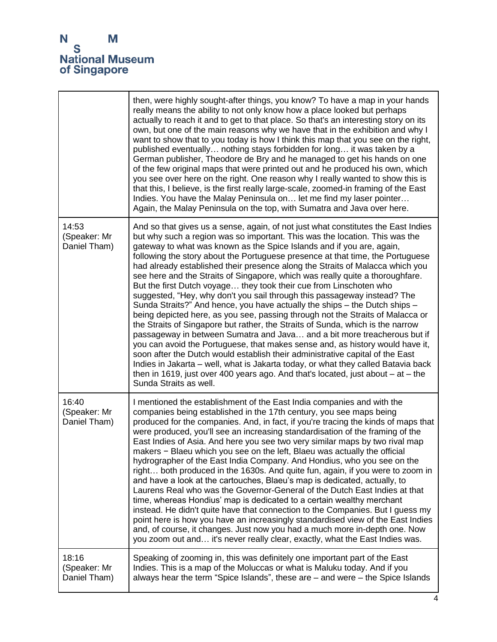|                                       | then, were highly sought-after things, you know? To have a map in your hands<br>really means the ability to not only know how a place looked but perhaps<br>actually to reach it and to get to that place. So that's an interesting story on its<br>own, but one of the main reasons why we have that in the exhibition and why I<br>want to show that to you today is how I think this map that you see on the right,<br>published eventually nothing stays forbidden for long it was taken by a<br>German publisher, Theodore de Bry and he managed to get his hands on one<br>of the few original maps that were printed out and he produced his own, which<br>you see over here on the right. One reason why I really wanted to show this is<br>that this, I believe, is the first really large-scale, zoomed-in framing of the East<br>Indies. You have the Malay Peninsula on let me find my laser pointer<br>Again, the Malay Peninsula on the top, with Sumatra and Java over here.                                                                                                                                                                                                                                                                                                                                                            |
|---------------------------------------|--------------------------------------------------------------------------------------------------------------------------------------------------------------------------------------------------------------------------------------------------------------------------------------------------------------------------------------------------------------------------------------------------------------------------------------------------------------------------------------------------------------------------------------------------------------------------------------------------------------------------------------------------------------------------------------------------------------------------------------------------------------------------------------------------------------------------------------------------------------------------------------------------------------------------------------------------------------------------------------------------------------------------------------------------------------------------------------------------------------------------------------------------------------------------------------------------------------------------------------------------------------------------------------------------------------------------------------------------------|
| 14:53<br>(Speaker: Mr<br>Daniel Tham) | And so that gives us a sense, again, of not just what constitutes the East Indies<br>but why such a region was so important. This was the location. This was the<br>gateway to what was known as the Spice Islands and if you are, again,<br>following the story about the Portuguese presence at that time, the Portuguese<br>had already established their presence along the Straits of Malacca which you<br>see here and the Straits of Singapore, which was really quite a thoroughfare.<br>But the first Dutch voyage they took their cue from Linschoten who<br>suggested, "Hey, why don't you sail through this passageway instead? The<br>Sunda Straits?" And hence, you have actually the ships - the Dutch ships -<br>being depicted here, as you see, passing through not the Straits of Malacca or<br>the Straits of Singapore but rather, the Straits of Sunda, which is the narrow<br>passageway in between Sumatra and Java and a bit more treacherous but if<br>you can avoid the Portuguese, that makes sense and, as history would have it,<br>soon after the Dutch would establish their administrative capital of the East<br>Indies in Jakarta - well, what is Jakarta today, or what they called Batavia back<br>then in 1619, just over 400 years ago. And that's located, just about $-$ at $-$ the<br>Sunda Straits as well. |
| 16:40<br>(Speaker: Mr<br>Daniel Tham) | I mentioned the establishment of the East India companies and with the<br>companies being established in the 17th century, you see maps being<br>produced for the companies. And, in fact, if you're tracing the kinds of maps that<br>were produced, you'll see an increasing standardisation of the framing of the<br>East Indies of Asia. And here you see two very similar maps by two rival map<br>makers - Blaeu which you see on the left, Blaeu was actually the official<br>hydrographer of the East India Company. And Hondius, who you see on the<br>right both produced in the 1630s. And quite fun, again, if you were to zoom in<br>and have a look at the cartouches, Blaeu's map is dedicated, actually, to<br>Laurens Real who was the Governor-General of the Dutch East Indies at that<br>time, whereas Hondius' map is dedicated to a certain wealthy merchant<br>instead. He didn't quite have that connection to the Companies. But I guess my<br>point here is how you have an increasingly standardised view of the East Indies<br>and, of course, it changes. Just now you had a much more in-depth one. Now<br>you zoom out and it's never really clear, exactly, what the East Indies was.                                                                                                                                  |
| 18:16<br>(Speaker: Mr<br>Daniel Tham) | Speaking of zooming in, this was definitely one important part of the East<br>Indies. This is a map of the Moluccas or what is Maluku today. And if you<br>always hear the term "Spice Islands", these are $-$ and were $-$ the Spice Islands                                                                                                                                                                                                                                                                                                                                                                                                                                                                                                                                                                                                                                                                                                                                                                                                                                                                                                                                                                                                                                                                                                          |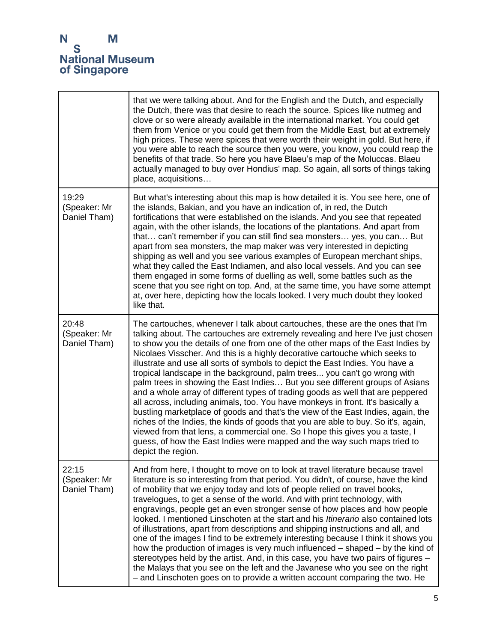|                                       | that we were talking about. And for the English and the Dutch, and especially<br>the Dutch, there was that desire to reach the source. Spices like nutmeg and<br>clove or so were already available in the international market. You could get<br>them from Venice or you could get them from the Middle East, but at extremely<br>high prices. These were spices that were worth their weight in gold. But here, if<br>you were able to reach the source then you were, you know, you could reap the<br>benefits of that trade. So here you have Blaeu's map of the Moluccas. Blaeu<br>actually managed to buy over Hondius' map. So again, all sorts of things taking<br>place, acquisitions                                                                                                                                                                                                                                                                                                                                                                                                                    |
|---------------------------------------|-------------------------------------------------------------------------------------------------------------------------------------------------------------------------------------------------------------------------------------------------------------------------------------------------------------------------------------------------------------------------------------------------------------------------------------------------------------------------------------------------------------------------------------------------------------------------------------------------------------------------------------------------------------------------------------------------------------------------------------------------------------------------------------------------------------------------------------------------------------------------------------------------------------------------------------------------------------------------------------------------------------------------------------------------------------------------------------------------------------------|
| 19:29<br>(Speaker: Mr<br>Daniel Tham) | But what's interesting about this map is how detailed it is. You see here, one of<br>the islands, Bakian, and you have an indication of, in red, the Dutch<br>fortifications that were established on the islands. And you see that repeated<br>again, with the other islands, the locations of the plantations. And apart from<br>that can't remember if you can still find sea monsters yes, you can But<br>apart from sea monsters, the map maker was very interested in depicting<br>shipping as well and you see various examples of European merchant ships,<br>what they called the East Indiamen, and also local vessels. And you can see<br>them engaged in some forms of duelling as well, some battles such as the<br>scene that you see right on top. And, at the same time, you have some attempt<br>at, over here, depicting how the locals looked. I very much doubt they looked<br>like that.                                                                                                                                                                                                     |
| 20:48<br>(Speaker: Mr<br>Daniel Tham) | The cartouches, whenever I talk about cartouches, these are the ones that I'm<br>talking about. The cartouches are extremely revealing and here I've just chosen<br>to show you the details of one from one of the other maps of the East Indies by<br>Nicolaes Visscher. And this is a highly decorative cartouche which seeks to<br>illustrate and use all sorts of symbols to depict the East Indies. You have a<br>tropical landscape in the background, palm trees you can't go wrong with<br>palm trees in showing the East Indies But you see different groups of Asians<br>and a whole array of different types of trading goods as well that are peppered<br>all across, including animals, too. You have monkeys in front. It's basically a<br>bustling marketplace of goods and that's the view of the East Indies, again, the<br>riches of the Indies, the kinds of goods that you are able to buy. So it's, again,<br>viewed from that lens, a commercial one. So I hope this gives you a taste, I<br>guess, of how the East Indies were mapped and the way such maps tried to<br>depict the region. |
| 22:15<br>(Speaker: Mr<br>Daniel Tham) | And from here, I thought to move on to look at travel literature because travel<br>literature is so interesting from that period. You didn't, of course, have the kind<br>of mobility that we enjoy today and lots of people relied on travel books,<br>travelogues, to get a sense of the world. And with print technology, with<br>engravings, people get an even stronger sense of how places and how people<br>looked. I mentioned Linschoten at the start and his <i>Itinerario</i> also contained lots<br>of illustrations, apart from descriptions and shipping instructions and all, and<br>one of the images I find to be extremely interesting because I think it shows you<br>how the production of images is very much influenced – shaped – by the kind of<br>stereotypes held by the artist. And, in this case, you have two pairs of figures –<br>the Malays that you see on the left and the Javanese who you see on the right<br>- and Linschoten goes on to provide a written account comparing the two. He                                                                                     |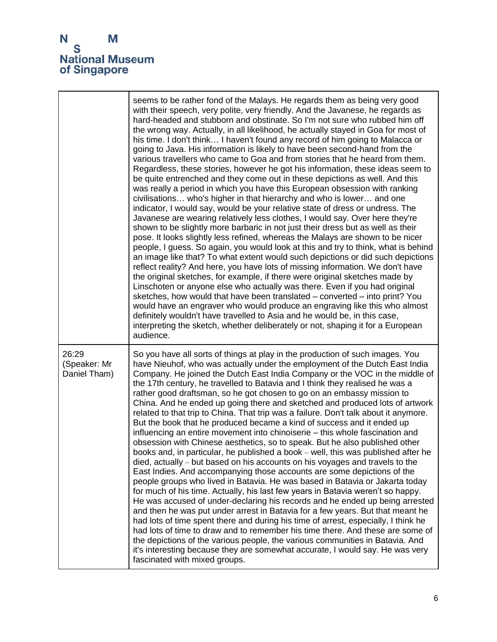$\mathbf{r}$ 

|                                       | seems to be rather fond of the Malays. He regards them as being very good<br>with their speech, very polite, very friendly. And the Javanese, he regards as<br>hard-headed and stubborn and obstinate. So I'm not sure who rubbed him off<br>the wrong way. Actually, in all likelihood, he actually stayed in Goa for most of<br>his time. I don't think I haven't found any record of him going to Malacca or<br>going to Java. His information is likely to have been second-hand from the<br>various travellers who came to Goa and from stories that he heard from them.<br>Regardless, these stories, however he got his information, these ideas seem to<br>be quite entrenched and they come out in these depictions as well. And this<br>was really a period in which you have this European obsession with ranking<br>civilisations who's higher in that hierarchy and who is lower and one<br>indicator, I would say, would be your relative state of dress or undress. The<br>Javanese are wearing relatively less clothes, I would say. Over here they're<br>shown to be slightly more barbaric in not just their dress but as well as their<br>pose. It looks slightly less refined, whereas the Malays are shown to be nicer<br>people, I guess. So again, you would look at this and try to think, what is behind<br>an image like that? To what extent would such depictions or did such depictions<br>reflect reality? And here, you have lots of missing information. We don't have<br>the original sketches, for example, if there were original sketches made by<br>Linschoten or anyone else who actually was there. Even if you had original<br>sketches, how would that have been translated – converted – into print? You<br>would have an engraver who would produce an engraving like this who almost<br>definitely wouldn't have travelled to Asia and he would be, in this case,<br>interpreting the sketch, whether deliberately or not, shaping it for a European<br>audience. |
|---------------------------------------|---------------------------------------------------------------------------------------------------------------------------------------------------------------------------------------------------------------------------------------------------------------------------------------------------------------------------------------------------------------------------------------------------------------------------------------------------------------------------------------------------------------------------------------------------------------------------------------------------------------------------------------------------------------------------------------------------------------------------------------------------------------------------------------------------------------------------------------------------------------------------------------------------------------------------------------------------------------------------------------------------------------------------------------------------------------------------------------------------------------------------------------------------------------------------------------------------------------------------------------------------------------------------------------------------------------------------------------------------------------------------------------------------------------------------------------------------------------------------------------------------------------------------------------------------------------------------------------------------------------------------------------------------------------------------------------------------------------------------------------------------------------------------------------------------------------------------------------------------------------------------------------------------------------------------------------------------------------------------------------------------------------|
| 26:29<br>(Speaker: Mr<br>Daniel Tham) | So you have all sorts of things at play in the production of such images. You<br>have Nieuhof, who was actually under the employment of the Dutch East India<br>Company. He joined the Dutch East India Company or the VOC in the middle of<br>the 17th century, he travelled to Batavia and I think they realised he was a<br>rather good draftsman, so he got chosen to go on an embassy mission to<br>China. And he ended up going there and sketched and produced lots of artwork<br>related to that trip to China. That trip was a failure. Don't talk about it anymore.<br>But the book that he produced became a kind of success and it ended up<br>influencing an entire movement into chinoiserie - this whole fascination and<br>obsession with Chinese aesthetics, so to speak. But he also published other<br>books and, in particular, he published a book – well, this was published after he<br>died, actually – but based on his accounts on his voyages and travels to the<br>East Indies. And accompanying those accounts are some depictions of the<br>people groups who lived in Batavia. He was based in Batavia or Jakarta today<br>for much of his time. Actually, his last few years in Batavia weren't so happy.<br>He was accused of under-declaring his records and he ended up being arrested<br>and then he was put under arrest in Batavia for a few years. But that meant he<br>had lots of time spent there and during his time of arrest, especially, I think he<br>had lots of time to draw and to remember his time there. And these are some of<br>the depictions of the various people, the various communities in Batavia. And<br>it's interesting because they are somewhat accurate, I would say. He was very<br>fascinated with mixed groups.                                                                                                                                                                                                                        |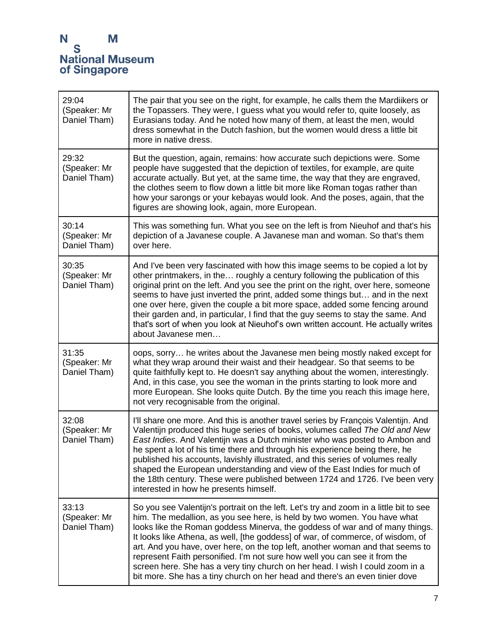| 29:04<br>(Speaker: Mr<br>Daniel Tham) | The pair that you see on the right, for example, he calls them the Mardiikers or<br>the Topassers. They were, I guess what you would refer to, quite loosely, as<br>Eurasians today. And he noted how many of them, at least the men, would<br>dress somewhat in the Dutch fashion, but the women would dress a little bit<br>more in native dress.                                                                                                                                                                                                                                                                                                                   |
|---------------------------------------|-----------------------------------------------------------------------------------------------------------------------------------------------------------------------------------------------------------------------------------------------------------------------------------------------------------------------------------------------------------------------------------------------------------------------------------------------------------------------------------------------------------------------------------------------------------------------------------------------------------------------------------------------------------------------|
| 29:32<br>(Speaker: Mr<br>Daniel Tham) | But the question, again, remains: how accurate such depictions were. Some<br>people have suggested that the depiction of textiles, for example, are quite<br>accurate actually. But yet, at the same time, the way that they are engraved,<br>the clothes seem to flow down a little bit more like Roman togas rather than<br>how your sarongs or your kebayas would look. And the poses, again, that the<br>figures are showing look, again, more European.                                                                                                                                                                                                          |
| 30:14<br>(Speaker: Mr<br>Daniel Tham) | This was something fun. What you see on the left is from Nieuhof and that's his<br>depiction of a Javanese couple. A Javanese man and woman. So that's them<br>over here.                                                                                                                                                                                                                                                                                                                                                                                                                                                                                             |
| 30:35<br>(Speaker: Mr<br>Daniel Tham) | And I've been very fascinated with how this image seems to be copied a lot by<br>other printmakers, in the roughly a century following the publication of this<br>original print on the left. And you see the print on the right, over here, someone<br>seems to have just inverted the print, added some things but and in the next<br>one over here, given the couple a bit more space, added some fencing around<br>their garden and, in particular, I find that the guy seems to stay the same. And<br>that's sort of when you look at Nieuhof's own written account. He actually writes<br>about Javanese men                                                    |
| 31:35<br>(Speaker: Mr<br>Daniel Tham) | oops, sorry he writes about the Javanese men being mostly naked except for<br>what they wrap around their waist and their headgear. So that seems to be<br>quite faithfully kept to. He doesn't say anything about the women, interestingly.<br>And, in this case, you see the woman in the prints starting to look more and<br>more European. She looks quite Dutch. By the time you reach this image here,<br>not very recognisable from the original.                                                                                                                                                                                                              |
| 32:08<br>(Speaker: Mr<br>Daniel Tham) | I'll share one more. And this is another travel series by François Valentijn. And<br>Valentijn produced this huge series of books, volumes called The Old and New<br>East Indies. And Valentijn was a Dutch minister who was posted to Ambon and<br>he spent a lot of his time there and through his experience being there, he<br>published his accounts, lavishly illustrated, and this series of volumes really<br>shaped the European understanding and view of the East Indies for much of<br>the 18th century. These were published between 1724 and 1726. I've been very<br>interested in how he presents himself.                                             |
| 33:13<br>(Speaker: Mr<br>Daniel Tham) | So you see Valentijn's portrait on the left. Let's try and zoom in a little bit to see<br>him. The medallion, as you see here, is held by two women. You have what<br>looks like the Roman goddess Minerva, the goddess of war and of many things.<br>It looks like Athena, as well, [the goddess] of war, of commerce, of wisdom, of<br>art. And you have, over here, on the top left, another woman and that seems to<br>represent Faith personified. I'm not sure how well you can see it from the<br>screen here. She has a very tiny church on her head. I wish I could zoom in a<br>bit more. She has a tiny church on her head and there's an even tinier dove |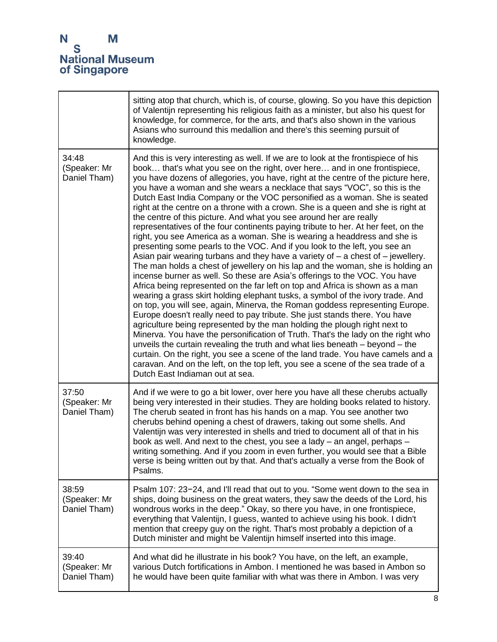|                                       | sitting atop that church, which is, of course, glowing. So you have this depiction<br>of Valentijn representing his religious faith as a minister, but also his quest for<br>knowledge, for commerce, for the arts, and that's also shown in the various<br>Asians who surround this medallion and there's this seeming pursuit of<br>knowledge.                                                                                                                                                                                                                                                                                                                                                                                                                                                                                                                                                                                                                                                                                                                                                                                                                                                                                                                                                                                                                                                                                                                                                                                                                                                                                                                                                                                                                                                                                                                          |
|---------------------------------------|---------------------------------------------------------------------------------------------------------------------------------------------------------------------------------------------------------------------------------------------------------------------------------------------------------------------------------------------------------------------------------------------------------------------------------------------------------------------------------------------------------------------------------------------------------------------------------------------------------------------------------------------------------------------------------------------------------------------------------------------------------------------------------------------------------------------------------------------------------------------------------------------------------------------------------------------------------------------------------------------------------------------------------------------------------------------------------------------------------------------------------------------------------------------------------------------------------------------------------------------------------------------------------------------------------------------------------------------------------------------------------------------------------------------------------------------------------------------------------------------------------------------------------------------------------------------------------------------------------------------------------------------------------------------------------------------------------------------------------------------------------------------------------------------------------------------------------------------------------------------------|
| 34:48<br>(Speaker: Mr<br>Daniel Tham) | And this is very interesting as well. If we are to look at the frontispiece of his<br>book that's what you see on the right, over here and in one frontispiece,<br>you have dozens of allegories, you have, right at the centre of the picture here,<br>you have a woman and she wears a necklace that says "VOC", so this is the<br>Dutch East India Company or the VOC personified as a woman. She is seated<br>right at the centre on a throne with a crown. She is a queen and she is right at<br>the centre of this picture. And what you see around her are really<br>representatives of the four continents paying tribute to her. At her feet, on the<br>right, you see America as a woman. She is wearing a headdress and she is<br>presenting some pearls to the VOC. And if you look to the left, you see an<br>Asian pair wearing turbans and they have a variety of $-$ a chest of $-$ jewellery.<br>The man holds a chest of jewellery on his lap and the woman, she is holding an<br>incense burner as well. So these are Asia's offerings to the VOC. You have<br>Africa being represented on the far left on top and Africa is shown as a man<br>wearing a grass skirt holding elephant tusks, a symbol of the ivory trade. And<br>on top, you will see, again, Minerva, the Roman goddess representing Europe.<br>Europe doesn't really need to pay tribute. She just stands there. You have<br>agriculture being represented by the man holding the plough right next to<br>Minerva. You have the personification of Truth. That's the lady on the right who<br>unveils the curtain revealing the truth and what lies beneath - beyond - the<br>curtain. On the right, you see a scene of the land trade. You have camels and a<br>caravan. And on the left, on the top left, you see a scene of the sea trade of a<br>Dutch East Indiaman out at sea. |
| 37:50<br>(Speaker: Mr<br>Daniel Tham) | And if we were to go a bit lower, over here you have all these cherubs actually<br>being very interested in their studies. They are holding books related to history.<br>The cherub seated in front has his hands on a map. You see another two<br>cherubs behind opening a chest of drawers, taking out some shells. And<br>Valentijn was very interested in shells and tried to document all of that in his<br>book as well. And next to the chest, you see a lady - an angel, perhaps -<br>writing something. And if you zoom in even further, you would see that a Bible<br>verse is being written out by that. And that's actually a verse from the Book of<br>Psalms.                                                                                                                                                                                                                                                                                                                                                                                                                                                                                                                                                                                                                                                                                                                                                                                                                                                                                                                                                                                                                                                                                                                                                                                               |
| 38:59<br>(Speaker: Mr<br>Daniel Tham) | Psalm 107: 23-24, and I'll read that out to you. "Some went down to the sea in<br>ships, doing business on the great waters, they saw the deeds of the Lord, his<br>wondrous works in the deep." Okay, so there you have, in one frontispiece,<br>everything that Valentijn, I guess, wanted to achieve using his book. I didn't<br>mention that creepy guy on the right. That's most probably a depiction of a<br>Dutch minister and might be Valentijn himself inserted into this image.                                                                                                                                                                                                                                                                                                                                                                                                                                                                                                                                                                                                                                                                                                                                                                                                                                                                                                                                                                                                                                                                                                                                                                                                                                                                                                                                                                                |
| 39:40<br>(Speaker: Mr<br>Daniel Tham) | And what did he illustrate in his book? You have, on the left, an example,<br>various Dutch fortifications in Ambon. I mentioned he was based in Ambon so<br>he would have been quite familiar with what was there in Ambon. I was very                                                                                                                                                                                                                                                                                                                                                                                                                                                                                                                                                                                                                                                                                                                                                                                                                                                                                                                                                                                                                                                                                                                                                                                                                                                                                                                                                                                                                                                                                                                                                                                                                                   |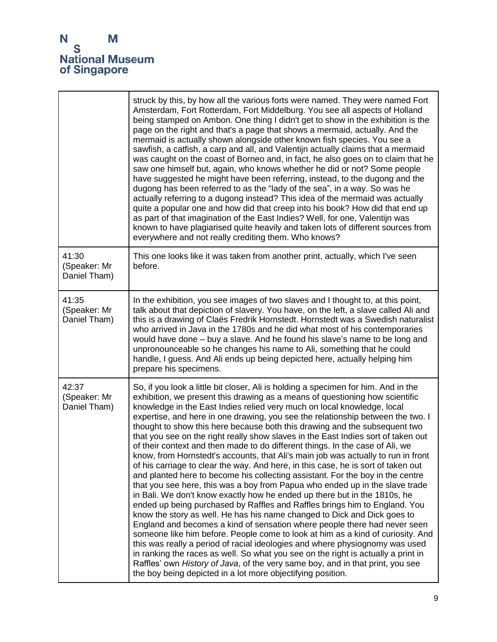|                                       | struck by this, by how all the various forts were named. They were named Fort<br>Amsterdam, Fort Rotterdam, Fort Middelburg. You see all aspects of Holland<br>being stamped on Ambon. One thing I didn't get to show in the exhibition is the<br>page on the right and that's a page that shows a mermaid, actually. And the<br>mermaid is actually shown alongside other known fish species. You see a<br>sawfish, a catfish, a carp and all, and Valentijn actually claims that a mermaid<br>was caught on the coast of Borneo and, in fact, he also goes on to claim that he<br>saw one himself but, again, who knows whether he did or not? Some people<br>have suggested he might have been referring, instead, to the dugong and the<br>dugong has been referred to as the "lady of the sea", in a way. So was he<br>actually referring to a dugong instead? This idea of the mermaid was actually<br>quite a popular one and how did that creep into his book? How did that end up<br>as part of that imagination of the East Indies? Well, for one, Valentijn was<br>known to have plagiarised quite heavily and taken lots of different sources from<br>everywhere and not really crediting them. Who knows?                                                                                                                                                                                                                                                                                                                                                                                                                                        |
|---------------------------------------|---------------------------------------------------------------------------------------------------------------------------------------------------------------------------------------------------------------------------------------------------------------------------------------------------------------------------------------------------------------------------------------------------------------------------------------------------------------------------------------------------------------------------------------------------------------------------------------------------------------------------------------------------------------------------------------------------------------------------------------------------------------------------------------------------------------------------------------------------------------------------------------------------------------------------------------------------------------------------------------------------------------------------------------------------------------------------------------------------------------------------------------------------------------------------------------------------------------------------------------------------------------------------------------------------------------------------------------------------------------------------------------------------------------------------------------------------------------------------------------------------------------------------------------------------------------------------------------------------------------------------------------------------------------|
| 41:30<br>(Speaker: Mr<br>Daniel Tham) | This one looks like it was taken from another print, actually, which I've seen<br>before.                                                                                                                                                                                                                                                                                                                                                                                                                                                                                                                                                                                                                                                                                                                                                                                                                                                                                                                                                                                                                                                                                                                                                                                                                                                                                                                                                                                                                                                                                                                                                                     |
| 41:35<br>(Speaker: Mr<br>Daniel Tham) | In the exhibition, you see images of two slaves and I thought to, at this point,<br>talk about that depiction of slavery. You have, on the left, a slave called Ali and<br>this is a drawing of Claës Fredrik Hornstedt. Hornstedt was a Swedish naturalist<br>who arrived in Java in the 1780s and he did what most of his contemporaries<br>would have done - buy a slave. And he found his slave's name to be long and<br>unpronounceable so he changes his name to Ali, something that he could<br>handle, I guess. And Ali ends up being depicted here, actually helping him<br>prepare his specimens.                                                                                                                                                                                                                                                                                                                                                                                                                                                                                                                                                                                                                                                                                                                                                                                                                                                                                                                                                                                                                                                   |
| 42:37<br>(Speaker: Mr<br>Daniel Tham) | So, if you look a little bit closer, Ali is holding a specimen for him. And in the<br>exhibition, we present this drawing as a means of questioning how scientific<br>knowledge in the East Indies relied very much on local knowledge, local<br>expertise, and here in one drawing, you see the relationship between the two. I<br>thought to show this here because both this drawing and the subsequent two<br>that you see on the right really show slaves in the East Indies sort of taken out<br>of their context and then made to do different things. In the case of Ali, we<br>know, from Hornstedt's accounts, that Ali's main job was actually to run in front<br>of his carriage to clear the way. And here, in this case, he is sort of taken out<br>and planted here to become his collecting assistant. For the boy in the centre<br>that you see here, this was a boy from Papua who ended up in the slave trade<br>in Bali. We don't know exactly how he ended up there but in the 1810s, he<br>ended up being purchased by Raffles and Raffles brings him to England. You<br>know the story as well. He has his name changed to Dick and Dick goes to<br>England and becomes a kind of sensation where people there had never seen<br>someone like him before. People come to look at him as a kind of curiosity. And<br>this was really a period of racial ideologies and where physiognomy was used<br>in ranking the races as well. So what you see on the right is actually a print in<br>Raffles' own History of Java, of the very same boy, and in that print, you see<br>the boy being depicted in a lot more objectifying position. |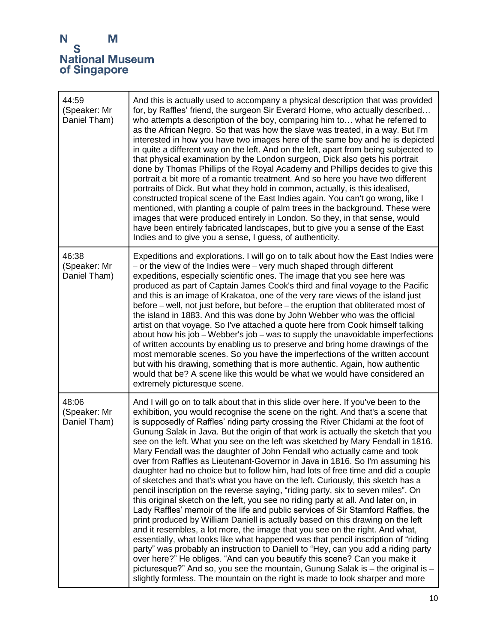| 44:59<br>(Speaker: Mr<br>Daniel Tham) | And this is actually used to accompany a physical description that was provided<br>for, by Raffles' friend, the surgeon Sir Everard Home, who actually described<br>who attempts a description of the boy, comparing him to what he referred to<br>as the African Negro. So that was how the slave was treated, in a way. But I'm<br>interested in how you have two images here of the same boy and he is depicted<br>in quite a different way on the left. And on the left, apart from being subjected to<br>that physical examination by the London surgeon, Dick also gets his portrait<br>done by Thomas Phillips of the Royal Academy and Phillips decides to give this<br>portrait a bit more of a romantic treatment. And so here you have two different<br>portraits of Dick. But what they hold in common, actually, is this idealised,<br>constructed tropical scene of the East Indies again. You can't go wrong, like I<br>mentioned, with planting a couple of palm trees in the background. These were<br>images that were produced entirely in London. So they, in that sense, would<br>have been entirely fabricated landscapes, but to give you a sense of the East<br>Indies and to give you a sense, I guess, of authenticity.                                                                                                                                                                                                                                                                                                                                                                                 |
|---------------------------------------|-----------------------------------------------------------------------------------------------------------------------------------------------------------------------------------------------------------------------------------------------------------------------------------------------------------------------------------------------------------------------------------------------------------------------------------------------------------------------------------------------------------------------------------------------------------------------------------------------------------------------------------------------------------------------------------------------------------------------------------------------------------------------------------------------------------------------------------------------------------------------------------------------------------------------------------------------------------------------------------------------------------------------------------------------------------------------------------------------------------------------------------------------------------------------------------------------------------------------------------------------------------------------------------------------------------------------------------------------------------------------------------------------------------------------------------------------------------------------------------------------------------------------------------------------------------------------------------------------------------------------------------|
| 46:38<br>(Speaker: Mr<br>Daniel Tham) | Expeditions and explorations. I will go on to talk about how the East Indies were<br>or the view of the Indies were - very much shaped through different<br>expeditions, especially scientific ones. The image that you see here was<br>produced as part of Captain James Cook's third and final voyage to the Pacific<br>and this is an image of Krakatoa, one of the very rare views of the island just<br>before – well, not just before, but before – the eruption that obliterated most of<br>the island in 1883. And this was done by John Webber who was the official<br>artist on that voyage. So I've attached a quote here from Cook himself talking<br>about how his job - Webber's job - was to supply the unavoidable imperfections<br>of written accounts by enabling us to preserve and bring home drawings of the<br>most memorable scenes. So you have the imperfections of the written account<br>but with his drawing, something that is more authentic. Again, how authentic<br>would that be? A scene like this would be what we would have considered an<br>extremely picturesque scene.                                                                                                                                                                                                                                                                                                                                                                                                                                                                                                                    |
| 48:06<br>(Speaker: Mr<br>Daniel Tham) | And I will go on to talk about that in this slide over here. If you've been to the<br>exhibition, you would recognise the scene on the right. And that's a scene that<br>is supposedly of Raffles' riding party crossing the River Chidami at the foot of<br>Gunung Salak in Java. But the origin of that work is actually the sketch that you<br>see on the left. What you see on the left was sketched by Mary Fendall in 1816.<br>Mary Fendall was the daughter of John Fendall who actually came and took<br>over from Raffles as Lieutenant-Governor in Java in 1816. So I'm assuming his<br>daughter had no choice but to follow him, had lots of free time and did a couple<br>of sketches and that's what you have on the left. Curiously, this sketch has a<br>pencil inscription on the reverse saying, "riding party, six to seven miles". On<br>this original sketch on the left, you see no riding party at all. And later on, in<br>Lady Raffles' memoir of the life and public services of Sir Stamford Raffles, the<br>print produced by William Daniell is actually based on this drawing on the left<br>and it resembles, a lot more, the image that you see on the right. And what,<br>essentially, what looks like what happened was that pencil inscription of "riding<br>party" was probably an instruction to Daniell to "Hey, can you add a riding party<br>over here?" He obliges. "And can you beautify this scene? Can you make it<br>picturesque?" And so, you see the mountain, Gunung Salak is - the original is -<br>slightly formless. The mountain on the right is made to look sharper and more |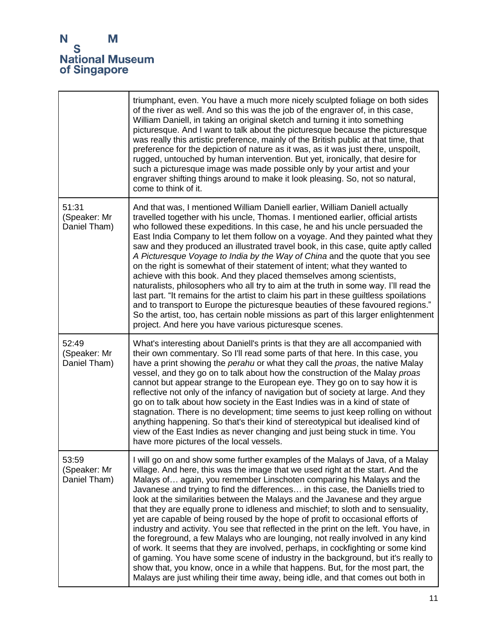|                                       | triumphant, even. You have a much more nicely sculpted foliage on both sides<br>of the river as well. And so this was the job of the engraver of, in this case,<br>William Daniell, in taking an original sketch and turning it into something<br>picturesque. And I want to talk about the picturesque because the picturesque<br>was really this artistic preference, mainly of the British public at that time, that<br>preference for the depiction of nature as it was, as it was just there, unspoilt,<br>rugged, untouched by human intervention. But yet, ironically, that desire for<br>such a picturesque image was made possible only by your artist and your<br>engraver shifting things around to make it look pleasing. So, not so natural,<br>come to think of it.                                                                                                                                                                                                                                                                                                                       |
|---------------------------------------|---------------------------------------------------------------------------------------------------------------------------------------------------------------------------------------------------------------------------------------------------------------------------------------------------------------------------------------------------------------------------------------------------------------------------------------------------------------------------------------------------------------------------------------------------------------------------------------------------------------------------------------------------------------------------------------------------------------------------------------------------------------------------------------------------------------------------------------------------------------------------------------------------------------------------------------------------------------------------------------------------------------------------------------------------------------------------------------------------------|
| 51:31<br>(Speaker: Mr<br>Daniel Tham) | And that was, I mentioned William Daniell earlier, William Daniell actually<br>travelled together with his uncle, Thomas. I mentioned earlier, official artists<br>who followed these expeditions. In this case, he and his uncle persuaded the<br>East India Company to let them follow on a voyage. And they painted what they<br>saw and they produced an illustrated travel book, in this case, quite aptly called<br>A Picturesque Voyage to India by the Way of China and the quote that you see<br>on the right is somewhat of their statement of intent; what they wanted to<br>achieve with this book. And they placed themselves among scientists,<br>naturalists, philosophers who all try to aim at the truth in some way. I'll read the<br>last part. "It remains for the artist to claim his part in these guiltless spoilations<br>and to transport to Europe the picturesque beauties of these favoured regions."<br>So the artist, too, has certain noble missions as part of this larger enlightenment<br>project. And here you have various picturesque scenes.                      |
| 52:49<br>(Speaker: Mr<br>Daniel Tham) | What's interesting about Daniell's prints is that they are all accompanied with<br>their own commentary. So I'll read some parts of that here. In this case, you<br>have a print showing the perahu or what they call the proas, the native Malay<br>vessel, and they go on to talk about how the construction of the Malay proas<br>cannot but appear strange to the European eye. They go on to say how it is<br>reflective not only of the infancy of navigation but of society at large. And they<br>go on to talk about how society in the East Indies was in a kind of state of<br>stagnation. There is no development; time seems to just keep rolling on without<br>anything happening. So that's their kind of stereotypical but idealised kind of<br>view of the East Indies as never changing and just being stuck in time. You<br>have more pictures of the local vessels.                                                                                                                                                                                                                  |
| 53:59<br>(Speaker: Mr<br>Daniel Tham) | I will go on and show some further examples of the Malays of Java, of a Malay<br>village. And here, this was the image that we used right at the start. And the<br>Malays of again, you remember Linschoten comparing his Malays and the<br>Javanese and trying to find the differences in this case, the Daniells tried to<br>look at the similarities between the Malays and the Javanese and they argue<br>that they are equally prone to idleness and mischief; to sloth and to sensuality,<br>yet are capable of being roused by the hope of profit to occasional efforts of<br>industry and activity. You see that reflected in the print on the left. You have, in<br>the foreground, a few Malays who are lounging, not really involved in any kind<br>of work. It seems that they are involved, perhaps, in cockfighting or some kind<br>of gaming. You have some scene of industry in the background, but it's really to<br>show that, you know, once in a while that happens. But, for the most part, the<br>Malays are just whiling their time away, being idle, and that comes out both in |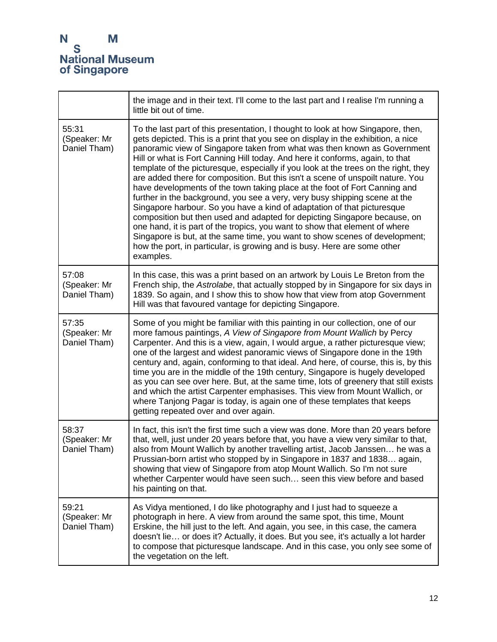|                                       | the image and in their text. I'll come to the last part and I realise I'm running a<br>little bit out of time.                                                                                                                                                                                                                                                                                                                                                                                                                                                                                                                                                                                                                                                                                                                                                                                                                                                                                                                                                                         |
|---------------------------------------|----------------------------------------------------------------------------------------------------------------------------------------------------------------------------------------------------------------------------------------------------------------------------------------------------------------------------------------------------------------------------------------------------------------------------------------------------------------------------------------------------------------------------------------------------------------------------------------------------------------------------------------------------------------------------------------------------------------------------------------------------------------------------------------------------------------------------------------------------------------------------------------------------------------------------------------------------------------------------------------------------------------------------------------------------------------------------------------|
| 55:31<br>(Speaker: Mr<br>Daniel Tham) | To the last part of this presentation, I thought to look at how Singapore, then,<br>gets depicted. This is a print that you see on display in the exhibition, a nice<br>panoramic view of Singapore taken from what was then known as Government<br>Hill or what is Fort Canning Hill today. And here it conforms, again, to that<br>template of the picturesque, especially if you look at the trees on the right, they<br>are added there for composition. But this isn't a scene of unspoilt nature. You<br>have developments of the town taking place at the foot of Fort Canning and<br>further in the background, you see a very, very busy shipping scene at the<br>Singapore harbour. So you have a kind of adaptation of that picturesque<br>composition but then used and adapted for depicting Singapore because, on<br>one hand, it is part of the tropics, you want to show that element of where<br>Singapore is but, at the same time, you want to show scenes of development;<br>how the port, in particular, is growing and is busy. Here are some other<br>examples. |
| 57:08<br>(Speaker: Mr<br>Daniel Tham) | In this case, this was a print based on an artwork by Louis Le Breton from the<br>French ship, the Astrolabe, that actually stopped by in Singapore for six days in<br>1839. So again, and I show this to show how that view from atop Government<br>Hill was that favoured vantage for depicting Singapore.                                                                                                                                                                                                                                                                                                                                                                                                                                                                                                                                                                                                                                                                                                                                                                           |
| 57:35<br>(Speaker: Mr<br>Daniel Tham) | Some of you might be familiar with this painting in our collection, one of our<br>more famous paintings, A View of Singapore from Mount Wallich by Percy<br>Carpenter. And this is a view, again, I would argue, a rather picturesque view;<br>one of the largest and widest panoramic views of Singapore done in the 19th<br>century and, again, conforming to that ideal. And here, of course, this is, by this<br>time you are in the middle of the 19th century, Singapore is hugely developed<br>as you can see over here. But, at the same time, lots of greenery that still exists<br>and which the artist Carpenter emphasises. This view from Mount Wallich, or<br>where Tanjong Pagar is today, is again one of these templates that keeps<br>getting repeated over and over again.                                                                                                                                                                                                                                                                                          |
| 58:37<br>(Speaker: Mr<br>Daniel Tham) | In fact, this isn't the first time such a view was done. More than 20 years before<br>that, well, just under 20 years before that, you have a view very similar to that,<br>also from Mount Wallich by another travelling artist, Jacob Janssen he was a<br>Prussian-born artist who stopped by in Singapore in 1837 and 1838 again,<br>showing that view of Singapore from atop Mount Wallich. So I'm not sure<br>whether Carpenter would have seen such seen this view before and based<br>his painting on that.                                                                                                                                                                                                                                                                                                                                                                                                                                                                                                                                                                     |
| 59:21<br>(Speaker: Mr<br>Daniel Tham) | As Vidya mentioned, I do like photography and I just had to squeeze a<br>photograph in here. A view from around the same spot, this time, Mount<br>Erskine, the hill just to the left. And again, you see, in this case, the camera<br>doesn't lie or does it? Actually, it does. But you see, it's actually a lot harder<br>to compose that picturesque landscape. And in this case, you only see some of<br>the vegetation on the left.                                                                                                                                                                                                                                                                                                                                                                                                                                                                                                                                                                                                                                              |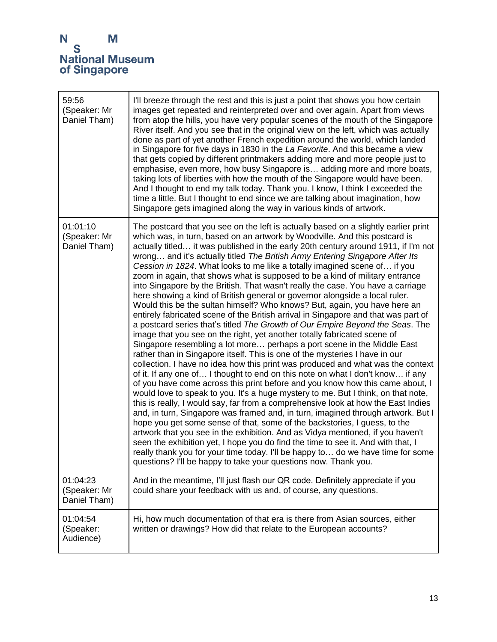| 59:56<br>(Speaker: Mr<br>Daniel Tham)    | I'll breeze through the rest and this is just a point that shows you how certain<br>images get repeated and reinterpreted over and over again. Apart from views<br>from atop the hills, you have very popular scenes of the mouth of the Singapore<br>River itself. And you see that in the original view on the left, which was actually<br>done as part of yet another French expedition around the world, which landed<br>in Singapore for five days in 1830 in the La Favorite. And this became a view<br>that gets copied by different printmakers adding more and more people just to<br>emphasise, even more, how busy Singapore is adding more and more boats,<br>taking lots of liberties with how the mouth of the Singapore would have been.<br>And I thought to end my talk today. Thank you. I know, I think I exceeded the<br>time a little. But I thought to end since we are talking about imagination, how<br>Singapore gets imagined along the way in various kinds of artwork.                                                                                                                                                                                                                                                                                                                                                                                                                                                                                                                                                                                                                                                                                                                                                                                                                                                                                                                                                                                                                                                                                             |
|------------------------------------------|-----------------------------------------------------------------------------------------------------------------------------------------------------------------------------------------------------------------------------------------------------------------------------------------------------------------------------------------------------------------------------------------------------------------------------------------------------------------------------------------------------------------------------------------------------------------------------------------------------------------------------------------------------------------------------------------------------------------------------------------------------------------------------------------------------------------------------------------------------------------------------------------------------------------------------------------------------------------------------------------------------------------------------------------------------------------------------------------------------------------------------------------------------------------------------------------------------------------------------------------------------------------------------------------------------------------------------------------------------------------------------------------------------------------------------------------------------------------------------------------------------------------------------------------------------------------------------------------------------------------------------------------------------------------------------------------------------------------------------------------------------------------------------------------------------------------------------------------------------------------------------------------------------------------------------------------------------------------------------------------------------------------------------------------------------------------------------------------------|
| 01:01:10<br>(Speaker: Mr<br>Daniel Tham) | The postcard that you see on the left is actually based on a slightly earlier print<br>which was, in turn, based on an artwork by Woodville. And this postcard is<br>actually titled it was published in the early 20th century around 1911, if I'm not<br>wrong and it's actually titled The British Army Entering Singapore After Its<br>Cession in 1824. What looks to me like a totally imagined scene of if you<br>zoom in again, that shows what is supposed to be a kind of military entrance<br>into Singapore by the British. That wasn't really the case. You have a carriage<br>here showing a kind of British general or governor alongside a local ruler.<br>Would this be the sultan himself? Who knows? But, again, you have here an<br>entirely fabricated scene of the British arrival in Singapore and that was part of<br>a postcard series that's titled The Growth of Our Empire Beyond the Seas. The<br>image that you see on the right, yet another totally fabricated scene of<br>Singapore resembling a lot more perhaps a port scene in the Middle East<br>rather than in Singapore itself. This is one of the mysteries I have in our<br>collection. I have no idea how this print was produced and what was the context<br>of it. If any one of I thought to end on this note on what I don't know if any<br>of you have come across this print before and you know how this came about, I<br>would love to speak to you. It's a huge mystery to me. But I think, on that note,<br>this is really, I would say, far from a comprehensive look at how the East Indies<br>and, in turn, Singapore was framed and, in turn, imagined through artwork. But I<br>hope you get some sense of that, some of the backstories, I guess, to the<br>artwork that you see in the exhibition. And as Vidya mentioned, if you haven't<br>seen the exhibition yet, I hope you do find the time to see it. And with that, I<br>really thank you for your time today. I'll be happy to do we have time for some<br>questions? I'll be happy to take your questions now. Thank you. |
| 01:04:23<br>(Speaker: Mr<br>Daniel Tham) | And in the meantime, I'll just flash our QR code. Definitely appreciate if you<br>could share your feedback with us and, of course, any questions.                                                                                                                                                                                                                                                                                                                                                                                                                                                                                                                                                                                                                                                                                                                                                                                                                                                                                                                                                                                                                                                                                                                                                                                                                                                                                                                                                                                                                                                                                                                                                                                                                                                                                                                                                                                                                                                                                                                                            |
| 01:04:54<br>(Speaker:<br>Audience)       | Hi, how much documentation of that era is there from Asian sources, either<br>written or drawings? How did that relate to the European accounts?                                                                                                                                                                                                                                                                                                                                                                                                                                                                                                                                                                                                                                                                                                                                                                                                                                                                                                                                                                                                                                                                                                                                                                                                                                                                                                                                                                                                                                                                                                                                                                                                                                                                                                                                                                                                                                                                                                                                              |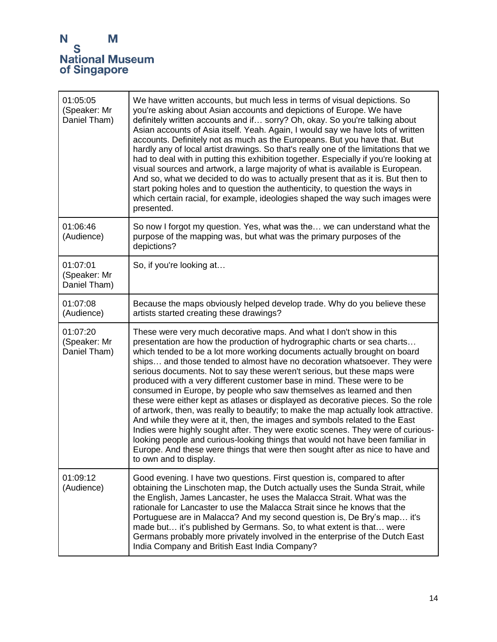| 01:05:05<br>(Speaker: Mr<br>Daniel Tham) | We have written accounts, but much less in terms of visual depictions. So<br>you're asking about Asian accounts and depictions of Europe. We have<br>definitely written accounts and if sorry? Oh, okay. So you're talking about<br>Asian accounts of Asia itself. Yeah. Again, I would say we have lots of written<br>accounts. Definitely not as much as the Europeans. But you have that. But<br>hardly any of local artist drawings. So that's really one of the limitations that we<br>had to deal with in putting this exhibition together. Especially if you're looking at<br>visual sources and artwork, a large majority of what is available is European.<br>And so, what we decided to do was to actually present that as it is. But then to<br>start poking holes and to question the authenticity, to question the ways in<br>which certain racial, for example, ideologies shaped the way such images were<br>presented.                                                                                                                                            |
|------------------------------------------|-----------------------------------------------------------------------------------------------------------------------------------------------------------------------------------------------------------------------------------------------------------------------------------------------------------------------------------------------------------------------------------------------------------------------------------------------------------------------------------------------------------------------------------------------------------------------------------------------------------------------------------------------------------------------------------------------------------------------------------------------------------------------------------------------------------------------------------------------------------------------------------------------------------------------------------------------------------------------------------------------------------------------------------------------------------------------------------|
| 01:06:46<br>(Audience)                   | So now I forgot my question. Yes, what was the we can understand what the<br>purpose of the mapping was, but what was the primary purposes of the<br>depictions?                                                                                                                                                                                                                                                                                                                                                                                                                                                                                                                                                                                                                                                                                                                                                                                                                                                                                                                  |
| 01:07:01<br>(Speaker: Mr<br>Daniel Tham) | So, if you're looking at                                                                                                                                                                                                                                                                                                                                                                                                                                                                                                                                                                                                                                                                                                                                                                                                                                                                                                                                                                                                                                                          |
| 01:07:08<br>(Audience)                   | Because the maps obviously helped develop trade. Why do you believe these<br>artists started creating these drawings?                                                                                                                                                                                                                                                                                                                                                                                                                                                                                                                                                                                                                                                                                                                                                                                                                                                                                                                                                             |
| 01:07:20<br>(Speaker: Mr<br>Daniel Tham) | These were very much decorative maps. And what I don't show in this<br>presentation are how the production of hydrographic charts or sea charts<br>which tended to be a lot more working documents actually brought on board<br>ships and those tended to almost have no decoration whatsoever. They were<br>serious documents. Not to say these weren't serious, but these maps were<br>produced with a very different customer base in mind. These were to be<br>consumed in Europe, by people who saw themselves as learned and then<br>these were either kept as atlases or displayed as decorative pieces. So the role<br>of artwork, then, was really to beautify; to make the map actually look attractive.<br>And while they were at it, then, the images and symbols related to the East<br>Indies were highly sought after. They were exotic scenes. They were of curious-<br>looking people and curious-looking things that would not have been familiar in<br>Europe. And these were things that were then sought after as nice to have and<br>to own and to display. |
| 01:09:12<br>(Audience)                   | Good evening. I have two questions. First question is, compared to after<br>obtaining the Linschoten map, the Dutch actually uses the Sunda Strait, while<br>the English, James Lancaster, he uses the Malacca Strait. What was the<br>rationale for Lancaster to use the Malacca Strait since he knows that the<br>Portuguese are in Malacca? And my second question is, De Bry's map it's<br>made but it's published by Germans. So, to what extent is that were<br>Germans probably more privately involved in the enterprise of the Dutch East<br>India Company and British East India Company?                                                                                                                                                                                                                                                                                                                                                                                                                                                                               |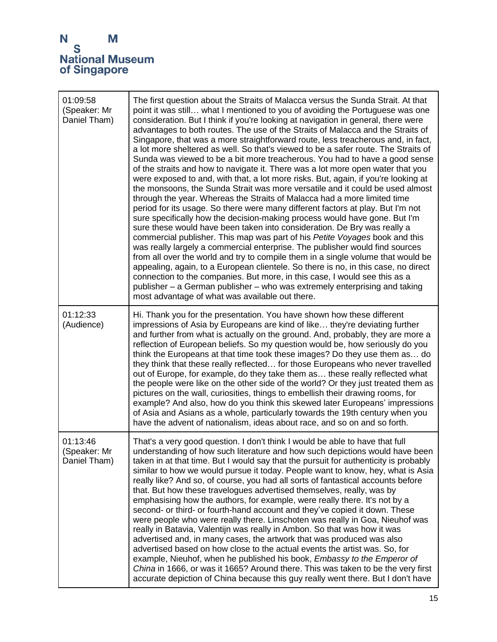

| 01:09:58<br>(Speaker: Mr<br>Daniel Tham) | The first question about the Straits of Malacca versus the Sunda Strait. At that<br>point it was still what I mentioned to you of avoiding the Portuguese was one<br>consideration. But I think if you're looking at navigation in general, there were<br>advantages to both routes. The use of the Straits of Malacca and the Straits of<br>Singapore, that was a more straightforward route, less treacherous and, in fact,<br>a lot more sheltered as well. So that's viewed to be a safer route. The Straits of<br>Sunda was viewed to be a bit more treacherous. You had to have a good sense<br>of the straits and how to navigate it. There was a lot more open water that you<br>were exposed to and, with that, a lot more risks. But, again, if you're looking at<br>the monsoons, the Sunda Strait was more versatile and it could be used almost<br>through the year. Whereas the Straits of Malacca had a more limited time<br>period for its usage. So there were many different factors at play. But I'm not<br>sure specifically how the decision-making process would have gone. But I'm<br>sure these would have been taken into consideration. De Bry was really a<br>commercial publisher. This map was part of his Petite Voyages book and this<br>was really largely a commercial enterprise. The publisher would find sources<br>from all over the world and try to compile them in a single volume that would be<br>appealing, again, to a European clientele. So there is no, in this case, no direct<br>connection to the companies. But more, in this case, I would see this as a<br>publisher - a German publisher - who was extremely enterprising and taking<br>most advantage of what was available out there. |
|------------------------------------------|-----------------------------------------------------------------------------------------------------------------------------------------------------------------------------------------------------------------------------------------------------------------------------------------------------------------------------------------------------------------------------------------------------------------------------------------------------------------------------------------------------------------------------------------------------------------------------------------------------------------------------------------------------------------------------------------------------------------------------------------------------------------------------------------------------------------------------------------------------------------------------------------------------------------------------------------------------------------------------------------------------------------------------------------------------------------------------------------------------------------------------------------------------------------------------------------------------------------------------------------------------------------------------------------------------------------------------------------------------------------------------------------------------------------------------------------------------------------------------------------------------------------------------------------------------------------------------------------------------------------------------------------------------------------------------------------------------------------------------------------------|
| 01:12:33<br>(Audience)                   | Hi. Thank you for the presentation. You have shown how these different<br>impressions of Asia by Europeans are kind of like they're deviating further<br>and further from what is actually on the ground. And, probably, they are more a<br>reflection of European beliefs. So my question would be, how seriously do you<br>think the Europeans at that time took these images? Do they use them as do<br>they think that these really reflected for those Europeans who never travelled<br>out of Europe, for example, do they take them as these really reflected what<br>the people were like on the other side of the world? Or they just treated them as<br>pictures on the wall, curiosities, things to embellish their drawing rooms, for<br>example? And also, how do you think this skewed later Europeans' impressions<br>of Asia and Asians as a whole, particularly towards the 19th century when you<br>have the advent of nationalism, ideas about race, and so on and so forth.                                                                                                                                                                                                                                                                                                                                                                                                                                                                                                                                                                                                                                                                                                                                               |
| 01:13:46<br>(Speaker: Mr<br>Daniel Tham) | That's a very good question. I don't think I would be able to have that full<br>understanding of how such literature and how such depictions would have been<br>taken in at that time. But I would say that the pursuit for authenticity is probably<br>similar to how we would pursue it today. People want to know, hey, what is Asia<br>really like? And so, of course, you had all sorts of fantastical accounts before<br>that. But how these travelogues advertised themselves, really, was by<br>emphasising how the authors, for example, were really there. It's not by a<br>second- or third- or fourth-hand account and they've copied it down. These<br>were people who were really there. Linschoten was really in Goa, Nieuhof was<br>really in Batavia, Valentijn was really in Ambon. So that was how it was<br>advertised and, in many cases, the artwork that was produced was also<br>advertised based on how close to the actual events the artist was. So, for<br>example, Nieuhof, when he published his book, Embassy to the Emperor of<br>China in 1666, or was it 1665? Around there. This was taken to be the very first<br>accurate depiction of China because this guy really went there. But I don't have                                                                                                                                                                                                                                                                                                                                                                                                                                                                                                        |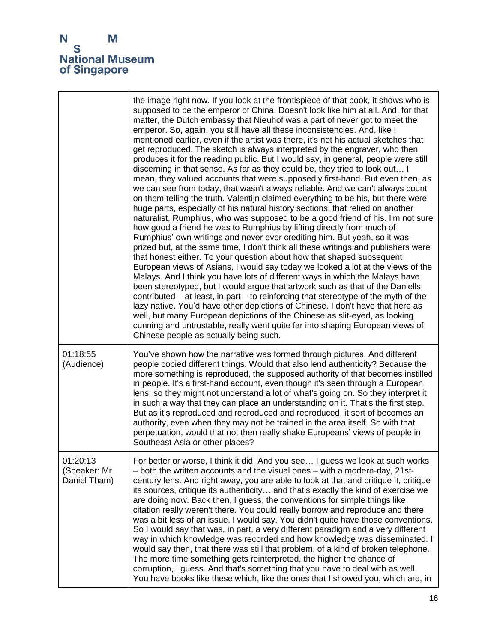|                                          | the image right now. If you look at the frontispiece of that book, it shows who is<br>supposed to be the emperor of China. Doesn't look like him at all. And, for that<br>matter, the Dutch embassy that Nieuhof was a part of never got to meet the<br>emperor. So, again, you still have all these inconsistencies. And, like I<br>mentioned earlier, even if the artist was there, it's not his actual sketches that<br>get reproduced. The sketch is always interpreted by the engraver, who then<br>produces it for the reading public. But I would say, in general, people were still<br>discerning in that sense. As far as they could be, they tried to look out I<br>mean, they valued accounts that were supposedly first-hand. But even then, as<br>we can see from today, that wasn't always reliable. And we can't always count<br>on them telling the truth. Valentijn claimed everything to be his, but there were<br>huge parts, especially of his natural history sections, that relied on another<br>naturalist, Rumphius, who was supposed to be a good friend of his. I'm not sure<br>how good a friend he was to Rumphius by lifting directly from much of<br>Rumphius' own writings and never ever crediting him. But yeah, so it was<br>prized but, at the same time, I don't think all these writings and publishers were<br>that honest either. To your question about how that shaped subsequent<br>European views of Asians, I would say today we looked a lot at the views of the<br>Malays. And I think you have lots of different ways in which the Malays have<br>been stereotyped, but I would argue that artwork such as that of the Daniells<br>contributed $-$ at least, in part $-$ to reinforcing that stereotype of the myth of the<br>lazy native. You'd have other depictions of Chinese. I don't have that here as<br>well, but many European depictions of the Chinese as slit-eyed, as looking<br>cunning and untrustable, really went quite far into shaping European views of<br>Chinese people as actually being such. |
|------------------------------------------|----------------------------------------------------------------------------------------------------------------------------------------------------------------------------------------------------------------------------------------------------------------------------------------------------------------------------------------------------------------------------------------------------------------------------------------------------------------------------------------------------------------------------------------------------------------------------------------------------------------------------------------------------------------------------------------------------------------------------------------------------------------------------------------------------------------------------------------------------------------------------------------------------------------------------------------------------------------------------------------------------------------------------------------------------------------------------------------------------------------------------------------------------------------------------------------------------------------------------------------------------------------------------------------------------------------------------------------------------------------------------------------------------------------------------------------------------------------------------------------------------------------------------------------------------------------------------------------------------------------------------------------------------------------------------------------------------------------------------------------------------------------------------------------------------------------------------------------------------------------------------------------------------------------------------------------------------------------------------------------------------------------------------------------------------------------------|
| 01:18:55<br>(Audience)                   | You've shown how the narrative was formed through pictures. And different<br>people copied different things. Would that also lend authenticity? Because the<br>more something is reproduced, the supposed authority of that becomes instilled<br>in people. It's a first-hand account, even though it's seen through a European<br>lens, so they might not understand a lot of what's going on. So they interpret it<br>in such a way that they can place an understanding on it. That's the first step.<br>But as it's reproduced and reproduced and reproduced, it sort of becomes an<br>authority, even when they may not be trained in the area itself. So with that<br>perpetuation, would that not then really shake Europeans' views of people in<br>Southeast Asia or other places?                                                                                                                                                                                                                                                                                                                                                                                                                                                                                                                                                                                                                                                                                                                                                                                                                                                                                                                                                                                                                                                                                                                                                                                                                                                                          |
| 01:20:13<br>(Speaker: Mr<br>Daniel Tham) | For better or worse, I think it did. And you see I guess we look at such works<br>- both the written accounts and the visual ones - with a modern-day, 21 st-<br>century lens. And right away, you are able to look at that and critique it, critique<br>its sources, critique its authenticity and that's exactly the kind of exercise we<br>are doing now. Back then, I guess, the conventions for simple things like<br>citation really weren't there. You could really borrow and reproduce and there<br>was a bit less of an issue, I would say. You didn't quite have those conventions.<br>So I would say that was, in part, a very different paradigm and a very different<br>way in which knowledge was recorded and how knowledge was disseminated. I<br>would say then, that there was still that problem, of a kind of broken telephone.<br>The more time something gets reinterpreted, the higher the chance of<br>corruption, I guess. And that's something that you have to deal with as well.<br>You have books like these which, like the ones that I showed you, which are, in                                                                                                                                                                                                                                                                                                                                                                                                                                                                                                                                                                                                                                                                                                                                                                                                                                                                                                                                                                     |